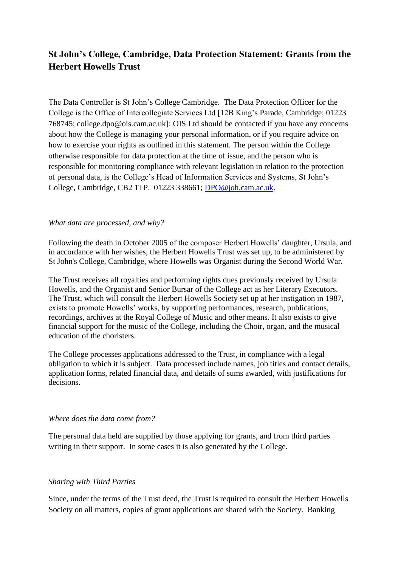# **St John's College, Cambridge, Data Protection Statement: Grants from the Herbert Howells Trust**

The Data Controller is St John's College Cambridge. The Data Protection Officer for the College is the Office of Intercollegiate Services Ltd [12B King's Parade, Cambridge; 01223 768745; college.dpo@ois.cam.ac.uk]: OIS Ltd should be contacted if you have any concerns about how the College is managing your personal information, or if you require advice on how to exercise your rights as outlined in this statement. The person within the College otherwise responsible for data protection at the time of issue, and the person who is responsible for monitoring compliance with relevant legislation in relation to the protection of personal data, is the College's Head of Information Services and Systems, St John's College, Cambridge, CB2 1TP. 01223 338661; [DPO@joh.cam.ac.uk.](mailto:DPO@joh.cam.ac.uk)

#### *What data are processed, and why?*

Following the death in October 2005 of the composer Herbert Howells' daughter, Ursula, and in accordance with her wishes, the Herbert Howells Trust was set up, to be administered by [St John's College, Cambridge,](http://www.joh.cam.ac.uk/) where Howells was Organist during the Second World War.

The Trust receives all royalties and performing rights dues previously received by Ursula Howells, and the Organist and Senior Bursar of the College act as her Literary Executors. The Trust, which will consult the Herbert Howells Society set up at her instigation in 1987, exists to promote Howells' works, by supporting performances, research, publications, recordings, archives at the Royal College of Music and other means. It also exists to give financial support for the music of the College, including the [Choir,](http://www.sjcchoir.co.uk/) organ, and the musical education of the choristers.

The College processes applications addressed to the Trust, in compliance with a legal obligation to which it is subject. Data processed include names, job titles and contact details, application forms, related financial data, and details of sums awarded, with justifications for decisions.

#### *Where does the data come from?*

The personal data held are supplied by those applying for grants, and from third parties writing in their support. In some cases it is also generated by the College.

#### *Sharing with Third Parties*

Since, under the terms of the Trust deed, the Trust is required to consult the Herbert Howells Society on all matters, copies of grant applications are shared with the Society. Banking